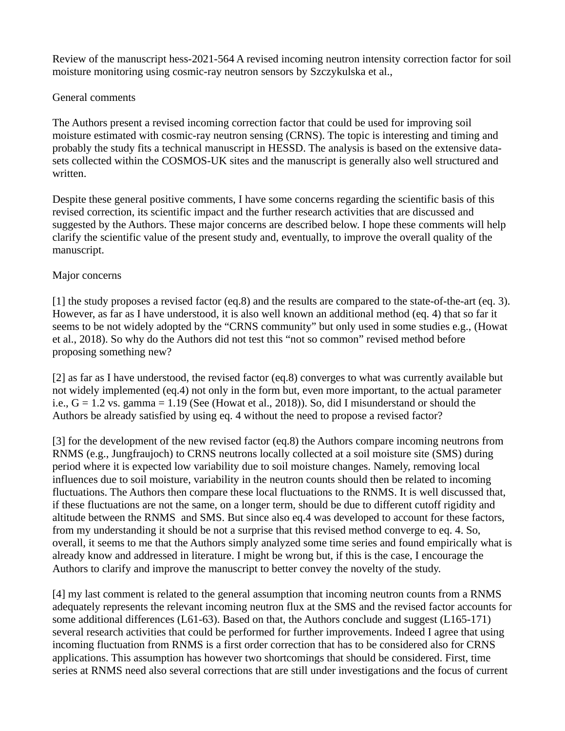Review of the manuscript hess-2021-564 A revised incoming neutron intensity correction factor for soil moisture monitoring using cosmic-ray neutron sensors by Szczykulska et al.,

## General comments

The Authors present a revised incoming correction factor that could be used for improving soil moisture estimated with cosmic-ray neutron sensing (CRNS). The topic is interesting and timing and probably the study fits a technical manuscript in HESSD. The analysis is based on the extensive datasets collected within the COSMOS-UK sites and the manuscript is generally also well structured and written.

Despite these general positive comments, I have some concerns regarding the scientific basis of this revised correction, its scientific impact and the further research activities that are discussed and suggested by the Authors. These major concerns are described below. I hope these comments will help clarify the scientific value of the present study and, eventually, to improve the overall quality of the manuscript.

## Major concerns

[1] the study proposes a revised factor (eq.8) and the results are compared to the state-of-the-art (eq. 3). However, as far as I have understood, it is also well known an additional method (eq. 4) that so far it seems to be not widely adopted by the "CRNS community" but only used in some studies e.g., (Howat et al., 2018). So why do the Authors did not test this "not so common" revised method before proposing something new?

[2] as far as I have understood, the revised factor (eq.8) converges to what was currently available but not widely implemented (eq.4) not only in the form but, even more important, to the actual parameter i.e.,  $G = 1.2$  vs. gamma = 1.19 (See (Howat et al., 2018)). So, did I misunderstand or should the Authors be already satisfied by using eq. 4 without the need to propose a revised factor?

[3] for the development of the new revised factor (eq.8) the Authors compare incoming neutrons from RNMS (e.g., Jungfraujoch) to CRNS neutrons locally collected at a soil moisture site (SMS) during period where it is expected low variability due to soil moisture changes. Namely, removing local influences due to soil moisture, variability in the neutron counts should then be related to incoming fluctuations. The Authors then compare these local fluctuations to the RNMS. It is well discussed that, if these fluctuations are not the same, on a longer term, should be due to different cutoff rigidity and altitude between the RNMS and SMS. But since also eq.4 was developed to account for these factors, from my understanding it should be not a surprise that this revised method converge to eq. 4. So, overall, it seems to me that the Authors simply analyzed some time series and found empirically what is already know and addressed in literature. I might be wrong but, if this is the case, I encourage the Authors to clarify and improve the manuscript to better convey the novelty of the study.

[4] my last comment is related to the general assumption that incoming neutron counts from a RNMS adequately represents the relevant incoming neutron flux at the SMS and the revised factor accounts for some additional differences (L61-63). Based on that, the Authors conclude and suggest (L165-171) several research activities that could be performed for further improvements. Indeed I agree that using incoming fluctuation from RNMS is a first order correction that has to be considered also for CRNS applications. This assumption has however two shortcomings that should be considered. First, time series at RNMS need also several corrections that are still under investigations and the focus of current